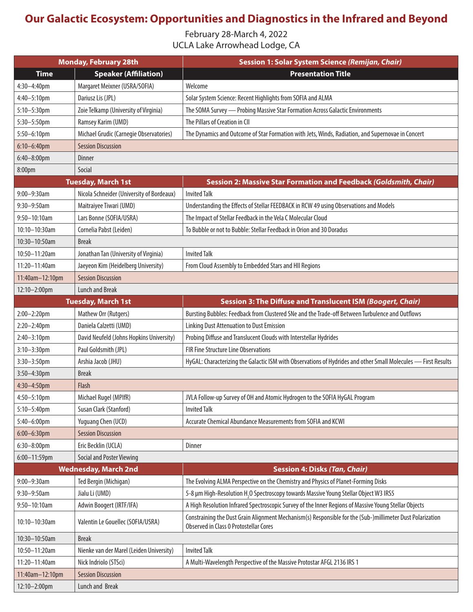## **Our Galactic Ecosystem: Opportunities and Diagnostics in the Infrared and Beyond**

February 28-March 4, 2022 UCLA Lake Arrowhead Lodge, CA

| <b>Monday, February 28th</b> |                                           | Session 1: Solar System Science (Remijan, Chair)                                                                                                           |
|------------------------------|-------------------------------------------|------------------------------------------------------------------------------------------------------------------------------------------------------------|
| <b>Time</b>                  | <b>Speaker (Affiliation)</b>              | <b>Presentation Title</b>                                                                                                                                  |
| 4:30-4:40pm                  | Margaret Meixner (USRA/SOFIA)             | Welcome                                                                                                                                                    |
| 4:40-5:10pm                  | Dariusz Lis (JPL)                         | Solar System Science: Recent Highlights from SOFIA and ALMA                                                                                                |
| 5:10-5:30pm                  | Zoie Telkamp (University of Virginia)     | The SOMA Survey - Probing Massive Star Formation Across Galactic Environments                                                                              |
| 5:30-5:50pm                  | Ramsey Karim (UMD)                        | The Pillars of Creation in CII                                                                                                                             |
| 5:50-6:10pm                  | Michael Grudic (Carnegie Observatories)   | The Dynamics and Outcome of Star Formation with Jets, Winds, Radiation, and Supernovae in Concert                                                          |
| $6:10-6:40$ pm               | <b>Session Discussion</b>                 |                                                                                                                                                            |
| 6:40-8:00pm                  | <b>Dinner</b>                             |                                                                                                                                                            |
| 8:00pm                       | Social                                    |                                                                                                                                                            |
|                              | <b>Tuesday, March 1st</b>                 | Session 2: Massive Star Formation and Feedback (Goldsmith, Chair)                                                                                          |
| 9:00-9:30am                  | Nicola Schneider (University of Bordeaux) | <b>Invited Talk</b>                                                                                                                                        |
| $9:30 - 9:50$ am             | Maitraiyee Tiwari (UMD)                   | Understanding the Effects of Stellar FEEDBACK in RCW 49 using Observations and Models                                                                      |
| $9:50 - 10:10$ am            | Lars Bonne (SOFIA/USRA)                   | The Impact of Stellar Feedback in the Vela C Molecular Cloud                                                                                               |
| 10:10-10:30am                | Cornelia Pabst (Leiden)                   | To Bubble or not to Bubble: Stellar Feedback in Orion and 30 Doradus                                                                                       |
| 10:30-10:50am                | <b>Break</b>                              |                                                                                                                                                            |
| 10:50-11:20am                | Jonathan Tan (University of Virginia)     | <b>Invited Talk</b>                                                                                                                                        |
| 11:20-11:40am                | Jaeyeon Kim (Heidelberg University)       | From Cloud Assembly to Embedded Stars and HII Regions                                                                                                      |
| 11:40am-12:10pm              | <b>Session Discussion</b>                 |                                                                                                                                                            |
| 12:10-2:00pm                 | <b>Lunch and Break</b>                    |                                                                                                                                                            |
|                              | <b>Tuesday, March 1st</b>                 | Session 3: The Diffuse and Translucent ISM (Boogert, Chair)                                                                                                |
| $2:00 - 2:20$ pm             | Mathew Orr (Rutgers)                      | Bursting Bubbles: Feedback from Clustered SNe and the Trade-off Between Turbulence and Outflows                                                            |
| $2:20 - 2:40$ pm             | Daniela Calzetti (UMD)                    | <b>Linking Dust Attenuation to Dust Emission</b>                                                                                                           |
| $2:40 - 3:10$ pm             | David Neufeld (Johns Hopkins University)  | Probing Diffuse and Translucent Clouds with Interstellar Hydrides                                                                                          |
| $3:10-3:30$ pm               | Paul Goldsmith (JPL)                      | FIR Fine Structure Line Observations                                                                                                                       |
| $3:30 - 3:50$ pm             | Arshia Jacob (JHU)                        | HyGAL: Characterizing the Galactic ISM with Observations of Hydrides and other Small Molecules - First Results                                             |
| 3:50-4:30pm                  | <b>Break</b>                              |                                                                                                                                                            |
| 4:30-4:50pm                  | Flash                                     |                                                                                                                                                            |
| $4:50 - 5:10$ pm             | Michael Rugel (MPIfR)                     | JVLA Follow-up Survey of OH and Atomic Hydrogen to the SOFIA HyGAL Program                                                                                 |
| $5:10 - 5:40$ pm             | Susan Clark (Stanford)                    | <b>Invited Talk</b>                                                                                                                                        |
| 5:40-6:00pm                  | Yuguang Chen (UCD)                        | Accurate Chemical Abundance Measurements from SOFIA and KCWI                                                                                               |
| $6:00 - 6:30$ pm             | <b>Session Discussion</b>                 |                                                                                                                                                            |
| $6:30-8:00$ pm               | Eric Becklin (UCLA)                       | Dinner                                                                                                                                                     |
| 6:00-11:59pm                 | <b>Social and Poster Viewing</b>          |                                                                                                                                                            |
|                              | <b>Wednesday, March 2nd</b>               | <b>Session 4: Disks (Tan, Chair)</b>                                                                                                                       |
| 9:00-9:30am                  | Ted Bergin (Michigan)                     | The Evolving ALMA Perspective on the Chemistry and Physics of Planet-Forming Disks                                                                         |
| 9:30-9:50am                  | Jialu Li (UMD)                            | 5-8 µm High-Resolution H, O Spectroscopy towards Massive Young Stellar Object W3 IRS5                                                                      |
| 9:50-10:10am                 | Adwin Boogert (IRTF/IFA)                  | A High Resolution Infrared Spectroscopic Survey of the Inner Regions of Massive Young Stellar Objects                                                      |
| 10:10-10:30am                | Valentin Le Gouellec (SOFIA/USRA)         | Constraining the Dust Grain Alignment Mechanism(s) Responsible for the (Sub-)millimeter Dust Polarization<br><b>Observed in Class 0 Protostellar Cores</b> |
| 10:30-10:50am                | <b>Break</b>                              |                                                                                                                                                            |
| 10:50-11:20am                | Nienke van der Marel (Leiden University)  | <b>Invited Talk</b>                                                                                                                                        |
| 11:20-11:40am                | Nick Indriolo (STSci)                     | A Multi-Wavelength Perspective of the Massive Protostar AFGL 2136 IRS 1                                                                                    |
| 11:40am-12:10pm              | <b>Session Discussion</b>                 |                                                                                                                                                            |
| 12:10-2:00pm                 | Lunch and Break                           |                                                                                                                                                            |